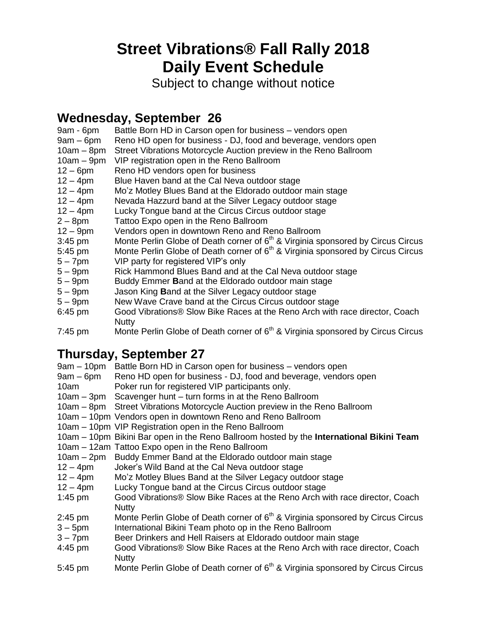# **Street Vibrations® Fall Rally 2018 Daily Event Schedule**

Subject to change without notice

### **Wednesday, September 26**

- 9am 6pm Battle Born HD in Carson open for business vendors open
- 9am 6pm Reno HD open for business DJ, food and beverage, vendors open
- 10am 8pm Street Vibrations Motorcycle Auction preview in the Reno Ballroom
- 10am 9pm VIP registration open in the Reno Ballroom
- 12 6pm Reno HD vendors open for business
- 12 4pm Blue Haven band at the Cal Neva outdoor stage
- 12 4pm Mo'z Motley Blues Band at the Eldorado outdoor main stage
- 12 4pm Nevada Hazzurd band at the Silver Legacy outdoor stage
- 12 4pm Lucky Tongue band at the Circus Circus outdoor stage
- 2 8pm Tattoo Expo open in the Reno Ballroom
- 12 9pm Vendors open in downtown Reno and Reno Ballroom
- 3:45 pm Monte Perlin Globe of Death corner of 6<sup>th</sup> & Virginia sponsored by Circus Circus
- 5:45 pm Monte Perlin Globe of Death corner of  $6<sup>th</sup>$  & Virginia sponsored by Circus Circus
- 5 7pm VIP party for registered VIP's only
- 5 9pm Rick Hammond Blues Band and at the Cal Neva outdoor stage
- 5 9pm Buddy Emmer **B**and at the Eldorado outdoor main stage
- 5 9pm Jason King **B**and at the Silver Legacy outdoor stage
- 5 9pm New Wave Crave band at the Circus Circus outdoor stage
- 6:45 pm Good Vibrations® Slow Bike Races at the Reno Arch with race director, Coach **Nutty**
- 7:45 pm Monte Perlin Globe of Death corner of  $6<sup>th</sup>$  & Virginia sponsored by Circus Circus

## **Thursday, September 27**

| $9am - 10pm$ | Battle Born HD in Carson open for business - vendors open                                   |
|--------------|---------------------------------------------------------------------------------------------|
| $9am - 6pm$  | Reno HD open for business - DJ, food and beverage, vendors open                             |
| 10am         | Poker run for registered VIP participants only.                                             |
|              | 10am – 3pm Scavenger hunt – turn forms in at the Reno Ballroom                              |
|              | 10am - 8pm Street Vibrations Motorcycle Auction preview in the Reno Ballroom                |
|              | 10am - 10pm Vendors open in downtown Reno and Reno Ballroom                                 |
|              | 10am – 10pm VIP Registration open in the Reno Ballroom                                      |
|              | 10am – 10pm Bikini Bar open in the Reno Ballroom hosted by the International Bikini Team    |
|              | 10am - 12am Tattoo Expo open in the Reno Ballroom                                           |
|              | 10am - 2pm Buddy Emmer Band at the Eldorado outdoor main stage                              |
| $12 - 4pm$   | Joker's Wild Band at the Cal Neva outdoor stage                                             |
| $12 - 4pm$   | Mo'z Motley Blues Band at the Silver Legacy outdoor stage                                   |
| $12 - 4pm$   | Lucky Tongue band at the Circus Circus outdoor stage                                        |
| $1:45$ pm    | Good Vibrations® Slow Bike Races at the Reno Arch with race director, Coach<br><b>Nutty</b> |
| $2:45$ pm    | Monte Perlin Globe of Death corner of 6 <sup>th</sup> & Virginia sponsored by Circus Circus |
| $3 - 5$ pm   | International Bikini Team photo op in the Reno Ballroom                                     |
| $3 - 7$ pm   | Beer Drinkers and Hell Raisers at Eldorado outdoor main stage                               |
| 4:45 pm      | Good Vibrations® Slow Bike Races at the Reno Arch with race director, Coach<br><b>Nutty</b> |

5:45 pm Monte Perlin Globe of Death corner of  $6<sup>th</sup>$  & Virginia sponsored by Circus Circus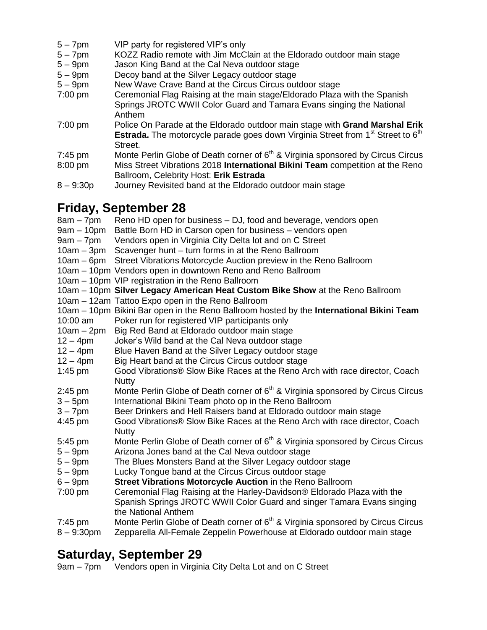- 5 7pm VIP party for registered VIP's only
- 5 7pm KOZZ Radio remote with Jim McClain at the Eldorado outdoor main stage
- 5 9pm Jason King Band at the Cal Neva outdoor stage<br>5 9pm Decoy band at the Silver Legacy outdoor stage
- Decoy band at the Silver Legacy outdoor stage
- 5 9pm New Wave Crave Band at the Circus Circus outdoor stage
- 7:00 pm Ceremonial Flag Raising at the main stage/Eldorado Plaza with the Spanish Springs JROTC WWII Color Guard and Tamara Evans singing the National Anthem
- 7:00 pm Police On Parade at the Eldorado outdoor main stage with **Grand Marshal Erik Estrada.** The motorcycle parade goes down Virginia Street from 1<sup>st</sup> Street to 6<sup>th</sup> Street.
- 7:45 pm Monte Perlin Globe of Death corner of 6<sup>th</sup> & Virginia sponsored by Circus Circus 8:00 pm Miss Street Vibrations 2018 **International Bikini Team** competition at the Reno Ballroom, Celebrity Host: **Erik Estrada**
- 8 9:30p Journey Revisited band at the Eldorado outdoor main stage

#### **Friday, September 28**

| $8am - 7pm$   | Reno HD open for business – DJ, food and beverage, vendors open                             |
|---------------|---------------------------------------------------------------------------------------------|
| $9am - 10pm$  | Battle Born HD in Carson open for business - vendors open                                   |
| $9am - 7pm$   | Vendors open in Virginia City Delta lot and on C Street                                     |
| $10am - 3pm$  | Scavenger hunt - turn forms in at the Reno Ballroom                                         |
| $10am - 6pm$  | Street Vibrations Motorcycle Auction preview in the Reno Ballroom                           |
|               | 10am - 10pm Vendors open in downtown Reno and Reno Ballroom                                 |
|               | 10am – 10pm VIP registration in the Reno Ballroom                                           |
|               | 10am - 10pm Silver Legacy American Heat Custom Bike Show at the Reno Ballroom               |
|               | 10am - 12am Tattoo Expo open in the Reno Ballroom                                           |
|               | 10am - 10pm Bikini Bar open in the Reno Ballroom hosted by the International Bikini Team    |
| 10:00 am      | Poker run for registered VIP participants only                                              |
| $10am - 2pm$  | Big Red Band at Eldorado outdoor main stage                                                 |
| $12 - 4$ pm   | Joker's Wild band at the Cal Neva outdoor stage                                             |
| $12 - 4pm$    | Blue Haven Band at the Silver Legacy outdoor stage                                          |
| $12 - 4pm$    | Big Heart band at the Circus Circus outdoor stage                                           |
| $1:45$ pm     | Good Vibrations® Slow Bike Races at the Reno Arch with race director, Coach                 |
|               | <b>Nutty</b>                                                                                |
| $2:45$ pm     | Monte Perlin Globe of Death corner of 6 <sup>th</sup> & Virginia sponsored by Circus Circus |
| $3 - 5$ pm    | International Bikini Team photo op in the Reno Ballroom                                     |
| $3 - 7$ pm    | Beer Drinkers and Hell Raisers band at Eldorado outdoor main stage                          |
| 4:45 pm       | Good Vibrations® Slow Bike Races at the Reno Arch with race director, Coach                 |
|               | <b>Nutty</b>                                                                                |
| 5:45 pm       | Monte Perlin Globe of Death corner of 6 <sup>th</sup> & Virginia sponsored by Circus Circus |
| $5-9$ pm      | Arizona Jones band at the Cal Neva outdoor stage                                            |
| $5-9$ pm      | The Blues Monsters Band at the Silver Legacy outdoor stage                                  |
| $5-9$ pm      | Lucky Tongue band at the Circus Circus outdoor stage                                        |
| $6 - 9$ pm    | Street Vibrations Motorcycle Auction in the Reno Ballroom                                   |
| $7:00$ pm     | Ceremonial Flag Raising at the Harley-Davidson® Eldorado Plaza with the                     |
|               | Spanish Springs JROTC WWII Color Guard and singer Tamara Evans singing                      |
|               | the National Anthem                                                                         |
| $7:45$ pm     | Monte Perlin Globe of Death corner of 6 <sup>th</sup> & Virginia sponsored by Circus Circus |
| $8 - 9:30$ pm | Zepparella All-Female Zeppelin Powerhouse at Eldorado outdoor main stage                    |

#### **Saturday, September 29**

9am – 7pm Vendors open in Virginia City Delta Lot and on C Street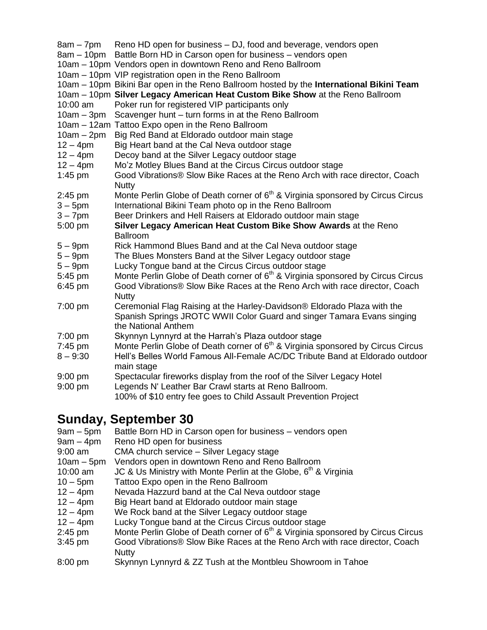|              | 8am – 7pm – Reno HD open for business – DJ, food and beverage, vendors open<br>8am - 10pm Battle Born HD in Carson open for business - vendors open                      |
|--------------|--------------------------------------------------------------------------------------------------------------------------------------------------------------------------|
|              | 10am - 10pm Vendors open in downtown Reno and Reno Ballroom                                                                                                              |
|              | 10am - 10pm VIP registration open in the Reno Ballroom                                                                                                                   |
|              | 10am - 10pm Bikini Bar open in the Reno Ballroom hosted by the International Bikini Team                                                                                 |
|              | 10am - 10pm Silver Legacy American Heat Custom Bike Show at the Reno Ballroom                                                                                            |
| 10:00 am     | Poker run for registered VIP participants only                                                                                                                           |
| $10am - 3pm$ | Scavenger hunt - turn forms in at the Reno Ballroom                                                                                                                      |
|              | 10am - 12am Tattoo Expo open in the Reno Ballroom                                                                                                                        |
| $10am - 2pm$ | Big Red Band at Eldorado outdoor main stage                                                                                                                              |
| $12 - 4pm$   | Big Heart band at the Cal Neva outdoor stage                                                                                                                             |
| $12 - 4pm$   | Decoy band at the Silver Legacy outdoor stage                                                                                                                            |
| $12 - 4pm$   | Mo'z Motley Blues Band at the Circus Circus outdoor stage                                                                                                                |
| $1:45$ pm    | Good Vibrations® Slow Bike Races at the Reno Arch with race director, Coach<br><b>Nutty</b>                                                                              |
| 2:45 pm      | Monte Perlin Globe of Death corner of 6 <sup>th</sup> & Virginia sponsored by Circus Circus                                                                              |
| $3 - 5$ pm   | International Bikini Team photo op in the Reno Ballroom                                                                                                                  |
| $3 - 7$ pm   | Beer Drinkers and Hell Raisers at Eldorado outdoor main stage                                                                                                            |
| 5:00 pm      | Silver Legacy American Heat Custom Bike Show Awards at the Reno<br><b>Ballroom</b>                                                                                       |
| $5-9$ pm     | Rick Hammond Blues Band and at the Cal Neva outdoor stage                                                                                                                |
| $5-9$ pm     | The Blues Monsters Band at the Silver Legacy outdoor stage                                                                                                               |
| $5-9$ pm     | Lucky Tongue band at the Circus Circus outdoor stage                                                                                                                     |
| 5:45 pm      | Monte Perlin Globe of Death corner of 6 <sup>th</sup> & Virginia sponsored by Circus Circus                                                                              |
| 6:45 pm      | Good Vibrations® Slow Bike Races at the Reno Arch with race director, Coach<br><b>Nutty</b>                                                                              |
| 7:00 pm      | Ceremonial Flag Raising at the Harley-Davidson® Eldorado Plaza with the<br>Spanish Springs JROTC WWII Color Guard and singer Tamara Evans singing<br>the National Anthem |
| 7:00 pm      | Skynnyn Lynnyrd at the Harrah's Plaza outdoor stage                                                                                                                      |
| 7:45 pm      | Monte Perlin Globe of Death corner of 6 <sup>th</sup> & Virginia sponsored by Circus Circus                                                                              |
| $8 - 9:30$   | Hell's Belles World Famous All-Female AC/DC Tribute Band at Eldorado outdoor<br>main stage                                                                               |
| $9:00$ pm    | Spectacular fireworks display from the roof of the Silver Legacy Hotel                                                                                                   |
| 9:00 pm      | Legends N' Leather Bar Crawl starts at Reno Ballroom.                                                                                                                    |
|              | 100% of \$10 entry fee goes to Child Assault Prevention Project                                                                                                          |

#### **Sunday, September 30**

- 9am 5pm Battle Born HD in Carson open for business vendors open
- 9am 4pm Reno HD open for business
- 9:00 am CMA church service Silver Legacy stage
- 10am 5pm Vendors open in downtown Reno and Reno Ballroom
- 10:00 am  $JC$  & Us Ministry with Monte Perlin at the Globe,  $6<sup>th</sup>$  & Virginia
- 10 5pm Tattoo Expo open in the Reno Ballroom
- 12 4pm Nevada Hazzurd band at the Cal Neva outdoor stage
- 12 4pm Big Heart band at Eldorado outdoor main stage<br>12 4pm We Rock band at the Silver Legacy outdoor stag
- We Rock band at the Silver Legacy outdoor stage
- 12 4pm Lucky Tongue band at the Circus Circus outdoor stage
- 2:45 pm Monte Perlin Globe of Death corner of  $6<sup>th</sup>$  & Virginia sponsored by Circus Circus
- 3:45 pm Good Vibrations® Slow Bike Races at the Reno Arch with race director, Coach Nutty
- 8:00 pm Skynnyn Lynnyrd & ZZ Tush at the Montbleu Showroom in Tahoe